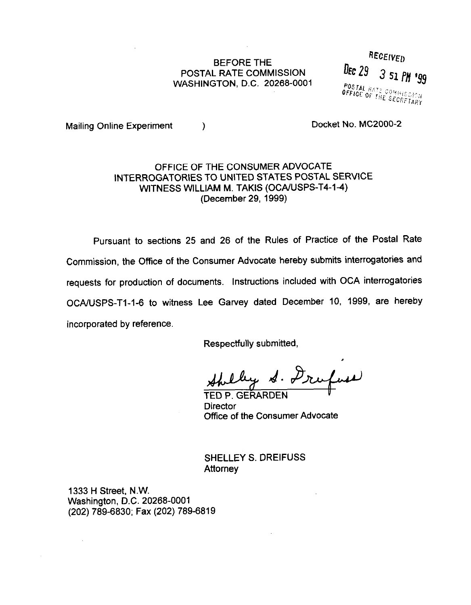## BEFORE THE POSTAL RATE COMMlSSlON WASHINGTON, D.C. 20268-0001

RECEIVED Dec  $29$ 3 51 PM 199 POSTAL HATE COMMISSION

Mailing Online Experiment (a) and the control of Docket No. MC2000-2

## OFFICE OF THE CONSUMER ADVOCATE INTERROGATORIES TO UNITED STATES POSTAL SERVICE WITNESS WILLIAM M. TAKIS (OCA/USPS-T4-14) (December 29, 1999)

Pursuant to sections 25 and 26 of the Rules of Practice of the Postal Rate Commission, the Office of the Consumer Advocate hereby submits interrogatories and requests for production of documents. Instructions included with OCA interrogatories OCA/USPS-T1-1-6 to witness Lee Garvey dated December 10, 1999, are hereby incorporated by reference.

Respectfully submitted,

by S. Drufuse

TED P. GERARDEN **Director** Office of the Consumer Advocate

SHELLEY S. DREIFUSS **Attorney** 

1333 H Street, N.W. Washington, D.C. 20268-0001 (202) 789-6830; Fax (202) 789-6819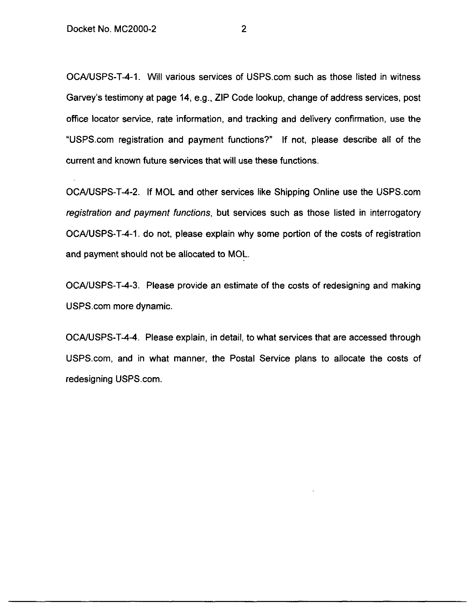OCA/USPS-T-4-1. Will various services of USPS.com such as those listed in witness Garvey's testimony at page 14, e.g., ZIP Code lookup, change of address services, post office locator service, rate information, and tracking and delivery confirmation, use the "USPScom registration and payment functions?" If not, please describe all of the current and known future services that will use these functions.

OCA/USPS-T-4-2. If MOL and other services like Shipping Online use the USPS.com registration and payment functions, but services such as those listed in interrogatory OCA/USPS-T-4-1. do not, please explain why some portion of the costs of registration and payment should not be allocated to MOL.

OCA/USPS-T-4-3. Please provide an estimate of the costs of redesigning and making USPS.com more dynamic.

OCA/USPS-T-4-4. Please explain, in detail, to what services that are accessed through USPS.com, and in what manner, the Postal Service plans to allocate the costs of redesigning USPS.com.